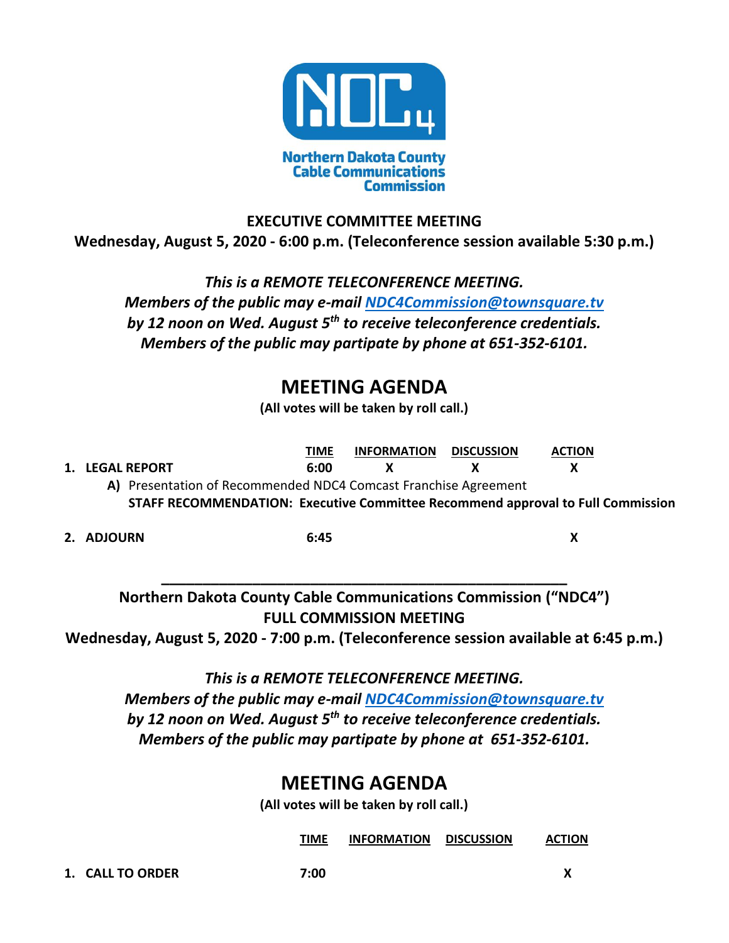

## **EXECUTIVE COMMITTEE MEETING Wednesday, August 5, 2020 - 6:00 p.m. (Teleconference session available 5:30 p.m.)**

*This is a REMOTE TELECONFERENCE MEETING. Members of the public may e-mail [NDC4Commission@townsquare.tv](mailto:NDC4Commission@townsquare.tv) by 12 noon on Wed. August 5th to receive teleconference credentials. Members of the public may partipate by phone at 651-352-6101.*

## **MEETING AGENDA**

**(All votes will be taken by roll call.)**

**TIME INFORMATION DISCUSSION ACTION 1. LEGAL REPORT 6:00 X X X A)** Presentation of Recommended NDC4 Comcast Franchise Agreement

**STAFF RECOMMENDATION: Executive Committee Recommend approval to Full Commission**

**2. ADJOURN 6:45 X**

**Northern Dakota County Cable Communications Commission ("NDC4") FULL COMMISSION MEETING**

**Wednesday, August 5, 2020 - 7:00 p.m. (Teleconference session available at 6:45 p.m.)**

**\_\_\_\_\_\_\_\_\_\_\_\_\_\_\_\_\_\_\_\_\_\_\_\_\_\_\_\_\_\_\_\_\_\_\_\_\_\_\_\_\_\_\_\_\_\_\_\_\_**

*This is a REMOTE TELECONFERENCE MEETING.* 

*Members of the public may e-mail [NDC4Commission@townsquare.tv](mailto:NDC4Commission@townsquare.tv) by 12 noon on Wed. August 5th to receive teleconference credentials. Members of the public may partipate by phone at 651-352-6101.*

## **MEETING AGENDA**

**(All votes will be taken by roll call.)**

**TIME INFORMATION DISCUSSION ACTION**

**1. CALL TO ORDER 7:00 X**